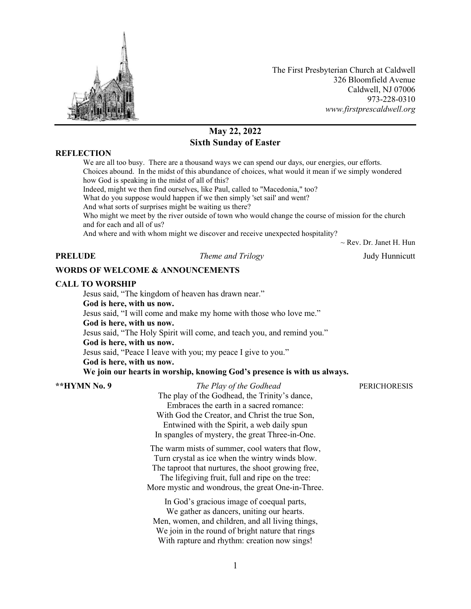

The First Presbyterian Church at Caldwell 326 Bloomfield Avenue Caldwell, NJ 07006 973-228-0310 *www.firstprescaldwell.org*

# **May 22, 2022 Sixth Sunday of Easter**

### **REFLECTION**

We are all too busy. There are a thousand ways we can spend our days, our energies, our efforts. Choices abound. In the midst of this abundance of choices, what would it mean if we simply wondered how God is speaking in the midst of all of this? Indeed, might we then find ourselves, like Paul, called to "Macedonia," too? What do you suppose would happen if we then simply 'set sail' and went? And what sorts of surprises might be waiting us there? Who might we meet by the river outside of town who would change the course of mission for the church and for each and all of us? And where and with whom might we discover and receive unexpected hospitality?

 $\sim$  Rev. Dr. Janet H. Hun

**PRELUDE** *Theme and Trilogy* Judy Hunnicutt

#### **WORDS OF WELCOME & ANNOUNCEMENTS**

#### **CALL TO WORSHIP**

Jesus said, "The kingdom of heaven has drawn near."

#### **God is here, with us now.**

Jesus said, "I will come and make my home with those who love me."

#### **God is here, with us now.**

Jesus said, "The Holy Spirit will come, and teach you, and remind you."

# **God is here, with us now.**

Jesus said, "Peace I leave with you; my peace I give to you." **God is here, with us now.**

### **We join our hearts in worship, knowing God's presence is with us always.**

**\*\*HYMN No. 9** *The Play of the Godhead* PERICHORESIS The play of the Godhead, the Trinity's dance, Embraces the earth in a sacred romance: With God the Creator, and Christ the true Son, Entwined with the Spirit, a web daily spun In spangles of mystery, the great Three-in-One.

> The warm mists of summer, cool waters that flow, Turn crystal as ice when the wintry winds blow. The taproot that nurtures, the shoot growing free, The lifegiving fruit, full and ripe on the tree:

More mystic and wondrous, the great One-in-Three.

In God's gracious image of coequal parts, We gather as dancers, uniting our hearts. Men, women, and children, and all living things, We join in the round of bright nature that rings With rapture and rhythm: creation now sings!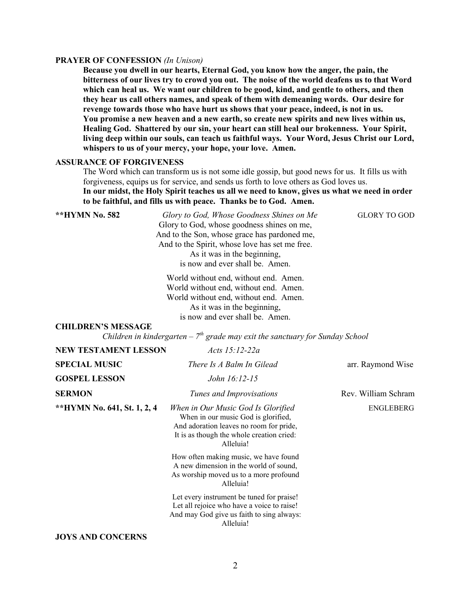#### **PRAYER OF CONFESSION** *(In Unison)*

**Because you dwell in our hearts, Eternal God, you know how the anger, the pain, the bitterness of our lives try to crowd you out. The noise of the world deafens us to that Word which can heal us. We want our children to be good, kind, and gentle to others, and then they hear us call others names, and speak of them with demeaning words. Our desire for revenge towards those who have hurt us shows that your peace, indeed, is not in us. You promise a new heaven and a new earth, so create new spirits and new lives within us, Healing God. Shattered by our sin, your heart can still heal our brokenness. Your Spirit, living deep within our souls, can teach us faithful ways. Your Word, Jesus Christ our Lord, whispers to us of your mercy, your hope, your love. Amen.**

# **ASSURANCE OF FORGIVENESS**

The Word which can transform us is not some idle gossip, but good news for us. It fills us with forgiveness, equips us for service, and sends us forth to love others as God loves us. **In our midst, the Holy Spirit teaches us all we need to know, gives us what we need in order to be faithful, and fills us with peace. Thanks be to God. Amen.**

\*\*HYMN No. 582 *Glory to God, Whose Goodness Shines on Me* **GLORY TO GOD** Glory to God, whose goodness shines on me, And to the Son, whose grace has pardoned me, And to the Spirit, whose love has set me free. As it was in the beginning, is now and ever shall be. Amen.

> World without end, without end. Amen. World without end, without end. Amen. World without end, without end. Amen. As it was in the beginning, is now and ever shall be. Amen.

### **CHILDREN'S MESSAGE**

*Children in kindergarten – 7th grade may exit the sanctuary for Sunday School*

| <b>NEW TESTAMENT LESSON</b> | Acts $15:12-22a$                                                                                                                                                               |                     |
|-----------------------------|--------------------------------------------------------------------------------------------------------------------------------------------------------------------------------|---------------------|
| <b>SPECIAL MUSIC</b>        | There Is A Balm In Gilead                                                                                                                                                      | arr. Raymond Wise   |
| <b>GOSPEL LESSON</b>        | John 16:12-15                                                                                                                                                                  |                     |
| <b>SERMON</b>               | Tunes and Improvisations                                                                                                                                                       | Rev. William Schram |
| **HYMN No. 641, St. 1, 2, 4 | When in Our Music God Is Glorified<br>When in our music God is glorified,<br>And adoration leaves no room for pride,<br>It is as though the whole creation cried:<br>Alleluia! | <b>ENGLEBERG</b>    |
|                             | How often making music, we have found<br>A new dimension in the world of sound,<br>As worship moved us to a more profound<br>Alleluia!                                         |                     |
|                             | Let every instrument be tuned for praise!<br>Let all rejoice who have a voice to raise!<br>And may God give us faith to sing always:<br>Alleluia!                              |                     |
| <b>JOYS AND CONCERNS</b>    |                                                                                                                                                                                |                     |

2